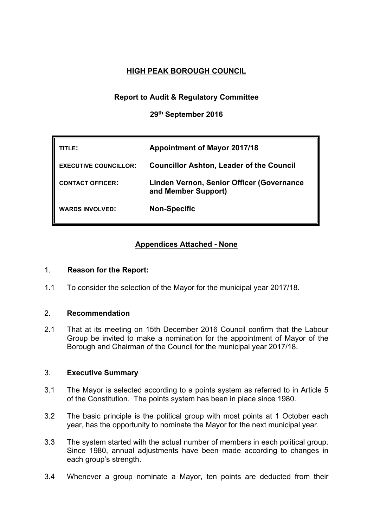# **HIGH PEAK BOROUGH COUNCIL**

## **Report to Audit & Regulatory Committee**

**29th September 2016**

| ITLE:                        | <b>Appointment of Mayor 2017/18</b>                              |
|------------------------------|------------------------------------------------------------------|
| <b>EXECUTIVE COUNCILLOR:</b> | <b>Councillor Ashton, Leader of the Council</b>                  |
| <b>CONTACT OFFICER:</b>      | Linden Vernon, Senior Officer (Governance<br>and Member Support) |
| <b>WARDS INVOLVED:</b>       | <b>Non-Specific</b>                                              |

# **Appendices Attached - None**

### 1. **Reason for the Report:**

1.1 To consider the selection of the Mayor for the municipal year 2017/18.

## 2. **Recommendation**

2.1 That at its meeting on 15th December 2016 Council confirm that the Labour Group be invited to make a nomination for the appointment of Mayor of the Borough and Chairman of the Council for the municipal year 2017/18.

### 3. **Executive Summary**

- 3.1 The Mayor is selected according to a points system as referred to in Article 5 of the Constitution. The points system has been in place since 1980.
- 3.2 The basic principle is the political group with most points at 1 October each year, has the opportunity to nominate the Mayor for the next municipal year.
- 3.3 The system started with the actual number of members in each political group. Since 1980, annual adjustments have been made according to changes in each group's strength.
- 3.4 Whenever a group nominate a Mayor, ten points are deducted from their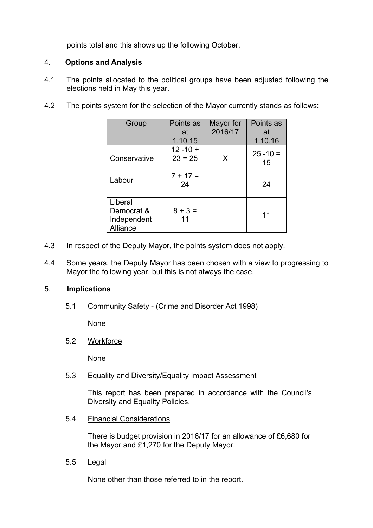points total and this shows up the following October.

### 4. **Options and Analysis**

- 4.1 The points allocated to the political groups have been adjusted following the elections held in May this year.
- 4.2 The points system for the selection of the Mayor currently stands as follows:

| Group                                            | Points as<br>at                     | Mayor for<br>2016/17 | Points as<br>at              |
|--------------------------------------------------|-------------------------------------|----------------------|------------------------------|
| Conservative                                     | 1.10.15<br>$12 - 10 +$<br>$23 = 25$ | X                    | 1.10.16<br>$25 - 10 =$<br>15 |
| Labour                                           | $7 + 17 =$<br>24                    |                      | 24                           |
| Liberal<br>Democrat &<br>Independent<br>Alliance | $8 + 3 =$<br>11                     |                      | 11                           |

- 4.3 In respect of the Deputy Mayor, the points system does not apply.
- 4.4 Some years, the Deputy Mayor has been chosen with a view to progressing to Mayor the following year, but this is not always the case.

#### 5. **Implications**

5.1 Community Safety - (Crime and Disorder Act 1998)

None

5.2 Workforce

None

5.3 Equality and Diversity/Equality Impact Assessment

This report has been prepared in accordance with the Council's Diversity and Equality Policies.

5.4 Financial Considerations

There is budget provision in 2016/17 for an allowance of £6,680 for the Mayor and £1,270 for the Deputy Mayor.

5.5 Legal

None other than those referred to in the report.